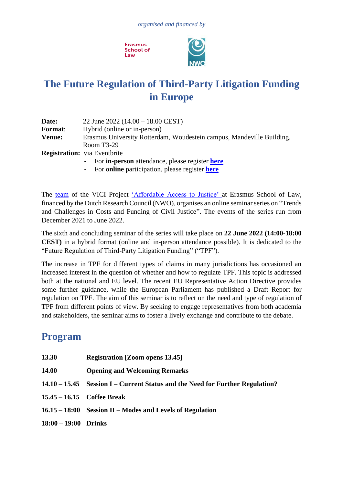**Frasmus School of** Law



# **The Future Regulation of Third-Party Litigation Funding in Europe**

| Date:          | 22 June 2022 $(14.00 - 18.00 \text{ CEST})$                           |
|----------------|-----------------------------------------------------------------------|
| <b>Format:</b> | Hybrid (online or in-person)                                          |
| <b>Venue:</b>  | Erasmus University Rotterdam, Woudestein campus, Mandeville Building, |
|                | Room $T3-29$                                                          |
|                | <b>Registration:</b> via Eventbrite                                   |
|                | - For <b>in-person</b> attendance, please register <b>here</b>        |

**-** For **online** participation, please register **[here](https://www.eventbrite.co.uk/e/the-regulation-of-third-party-litigation-funding-in-europe-online-tickets-338973768667?aff=ebdsoporgprofile)**

The [team](http://www.euciviljustice.eu/en/vici-project) of the VICI Project ['Affordable Access to Justice' a](http://www.euciviljustice.eu/en/project)t Erasmus School of Law, financed by the Dutch Research Council (NWO), organises an online seminar series on "Trends and Challenges in Costs and Funding of Civil Justice". The events of the series run from December 2021 to June 2022.

The sixth and concluding seminar of the series will take place on **22 June 2022 (14:00-18:00 CEST)** in a hybrid format (online and in-person attendance possible). It is dedicated to the "Future Regulation of Third-Party Litigation Funding" ("TPF").

The increase in TPF for different types of claims in many jurisdictions has occasioned an increased interest in the question of whether and how to regulate TPF. This topic is addressed both at the national and EU level. The recent EU Representative Action Directive provides some further guidance, while the European Parliament has published a Draft Report for regulation on TPF. The aim of this seminar is to reflect on the need and type of regulation of TPF from different points of view. By seeking to engage representatives from both academia and stakeholders, the seminar aims to foster a lively exchange and contribute to the debate.

## **Program**

| 13.30                | <b>Registration [Zoom opens 13.45]</b>                                        |
|----------------------|-------------------------------------------------------------------------------|
| 14.00                | <b>Opening and Welcoming Remarks</b>                                          |
|                      | 14.10 – 15.45 Session I – Current Status and the Need for Further Regulation? |
|                      | 15.45 – 16.15 Coffee Break                                                    |
|                      | 16.15 – 18:00 Session II – Modes and Levels of Regulation                     |
| 18:00 – 19:00 Drinks |                                                                               |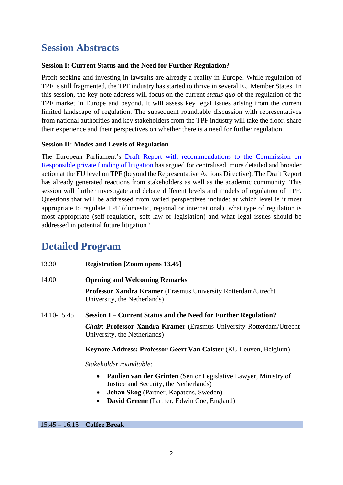## **Session Abstracts**

### **Session I: Current Status and the Need for Further Regulation?**

Profit-seeking and investing in lawsuits are already a reality in Europe. While regulation of TPF is still fragmented, the TPF industry has started to thrive in several EU Member States. In this session, the key-note address will focus on the current *status quo* of the regulation of the TPF market in Europe and beyond. It will assess key legal issues arising from the current limited landscape of regulation. The subsequent roundtable discussion with representatives from national authorities and key stakeholders from the TPF industry will take the floor, share their experience and their perspectives on whether there is a need for further regulation.

### **Session II: Modes and Levels of Regulation**

The European Parliament's [Draft Report with recommendations to the Commission on](https://www.europarl.europa.eu/doceo/document/JURI-PR-680934_EN.pdf)  [Responsible private funding of litigation](https://www.europarl.europa.eu/doceo/document/JURI-PR-680934_EN.pdf) has argued for centralised, more detailed and broader action at the EU level on TPF (beyond the Representative Actions Directive). The Draft Report has already generated reactions from stakeholders as well as the academic community. This session will further investigate and debate different levels and models of regulation of TPF. Questions that will be addressed from varied perspectives include: at which level is it most appropriate to regulate TPF (domestic, regional or international), what type of regulation is most appropriate (self-regulation, soft law or legislation) and what legal issues should be addressed in potential future litigation?

### **Detailed Program**

| 13.30       | <b>Registration [Zoom opens 13.45]</b>                                                                              |
|-------------|---------------------------------------------------------------------------------------------------------------------|
| 14.00       | <b>Opening and Welcoming Remarks</b>                                                                                |
|             | <b>Professor Xandra Kramer</b> (Erasmus University Rotterdam/Utrecht)<br>University, the Netherlands)               |
| 14.10-15.45 | Session I – Current Status and the Need for Further Regulation?                                                     |
|             |                                                                                                                     |
|             | <b><i>Chair:</i></b> Professor Xandra Kramer (Erasmus University Rotterdam/Utrecht)<br>University, the Netherlands) |

*Stakeholder roundtable:*

- **Paulien van der Grinten** (Senior Legislative Lawyer, Ministry of Justice and Security, the Netherlands)
- **Johan Skog** (Partner, Kapatens, Sweden)
- **David Greene** (Partner, Edwin Coe, England)

15:45 – 16.15 **Coffee Break**